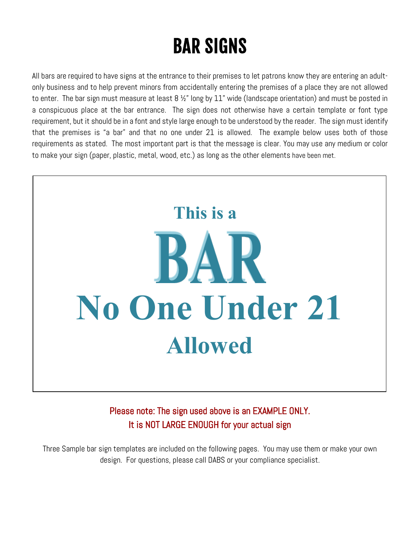## BAR SIGNS

All bars are required to have signs at the entrance to their premises to let patrons know they are entering an adultonly business and to help prevent minors from accidentally entering the premises of a place they are not allowed to enter. The bar sign must measure at least  $8\frac{1}{2}$ " long by 11" wide (landscape orientation) and must be posted in a conspicuous place at the bar entrance. The sign does not otherwise have a certain template or font type requirement, but it should be in a font and style large enough to be understood by the reader. The sign must identify that the premises is "a bar" and that no one under 21 is allowed. The example below uses both of those requirements as stated. The most important part is that the message is clear. You may use any medium or color to make your sign (paper, plastic, metal, wood, etc.) as long as the other elements have been met.



Please note: The sign used above is an EXAMPLE ONLY. It is NOT LARGE ENOUGH for your actual sign

Three Sample bar sign templates are included on the following pages. You may use them or make your own design. For questions, please call DABS or your compliance specialist.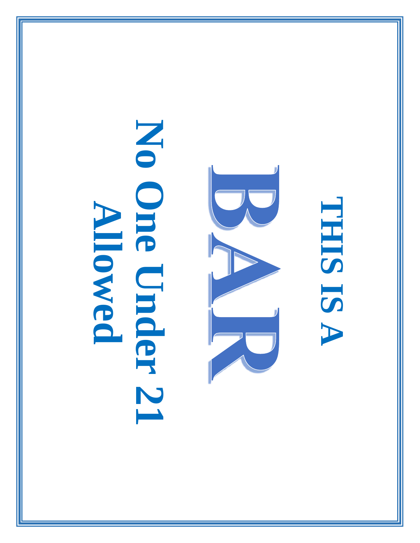## **No One Under 21**  No One Under 21 **Allowed**



## **THIS IS A**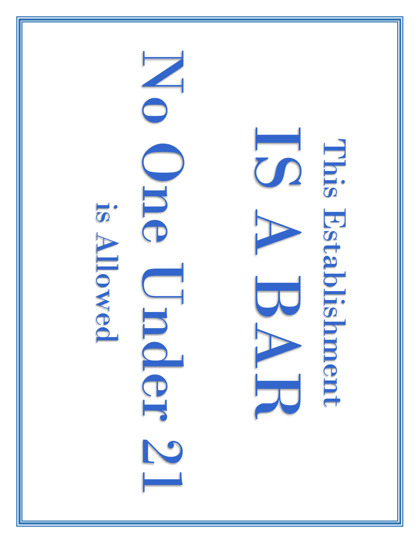

IS A BARA This Establishment This Establishment